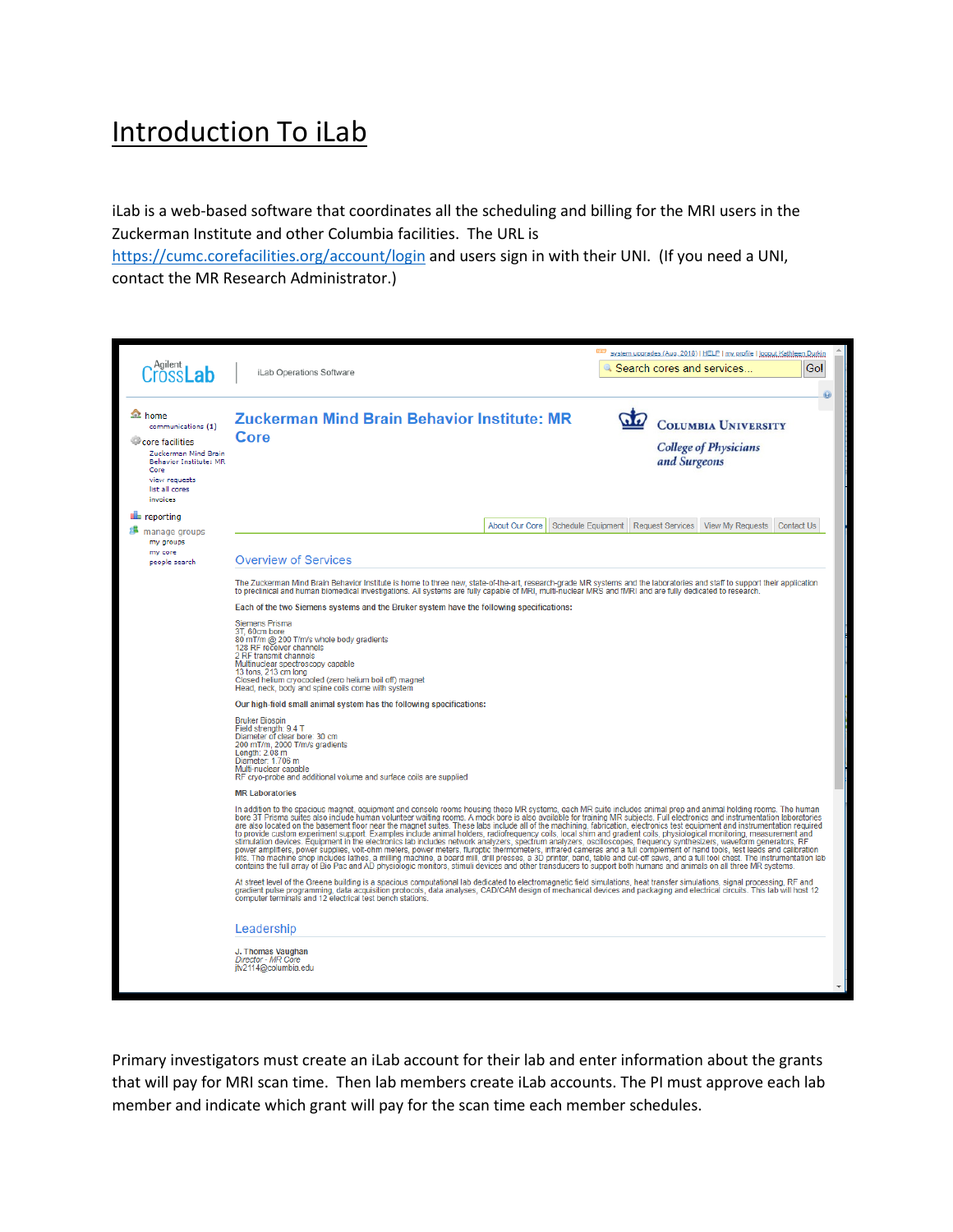## Introduction To iLab

iLab is a web-based software that coordinates all the scheduling and billing for the MRI users in the Zuckerman Institute and other Columbia facilities. The URL is

<https://cumc.corefacilities.org/account/login> and users sign in with their UNI. (If you need a UNI, contact the MR Research Administrator.)

|                                                                                                                                                                 |                                                                                                                                                                                                                                                                                                                                                                                                                                                                                                                                                                                                                                                                                                                                                                                                                                                                                                                                                                                                                                                                                                                                                                                                                                                                                                                                                                                                                          | system upgrades (Aug. 2018)   HELP   my profile   logout Kathleen Durkin     |  |  |  |  |  |
|-----------------------------------------------------------------------------------------------------------------------------------------------------------------|--------------------------------------------------------------------------------------------------------------------------------------------------------------------------------------------------------------------------------------------------------------------------------------------------------------------------------------------------------------------------------------------------------------------------------------------------------------------------------------------------------------------------------------------------------------------------------------------------------------------------------------------------------------------------------------------------------------------------------------------------------------------------------------------------------------------------------------------------------------------------------------------------------------------------------------------------------------------------------------------------------------------------------------------------------------------------------------------------------------------------------------------------------------------------------------------------------------------------------------------------------------------------------------------------------------------------------------------------------------------------------------------------------------------------|------------------------------------------------------------------------------|--|--|--|--|--|
| Agilent<br>nssi                                                                                                                                                 | iLab Operations Software                                                                                                                                                                                                                                                                                                                                                                                                                                                                                                                                                                                                                                                                                                                                                                                                                                                                                                                                                                                                                                                                                                                                                                                                                                                                                                                                                                                                 | Gol<br>Search cores and services.                                            |  |  |  |  |  |
|                                                                                                                                                                 |                                                                                                                                                                                                                                                                                                                                                                                                                                                                                                                                                                                                                                                                                                                                                                                                                                                                                                                                                                                                                                                                                                                                                                                                                                                                                                                                                                                                                          |                                                                              |  |  |  |  |  |
| <b>A</b> home<br>communications (1)<br>core facilities<br>Zuckerman Mind Brain<br>Behavior Institute: MR<br>Core<br>view requests<br>list all cores<br>invoices | Zuckerman Mind Brain Behavior Institute: MR<br>Core                                                                                                                                                                                                                                                                                                                                                                                                                                                                                                                                                                                                                                                                                                                                                                                                                                                                                                                                                                                                                                                                                                                                                                                                                                                                                                                                                                      | <b>COLUMBIA UNIVERSITY</b><br><b>College of Physicians</b><br>and Surgeons   |  |  |  |  |  |
| <b>E</b> reporting                                                                                                                                              |                                                                                                                                                                                                                                                                                                                                                                                                                                                                                                                                                                                                                                                                                                                                                                                                                                                                                                                                                                                                                                                                                                                                                                                                                                                                                                                                                                                                                          |                                                                              |  |  |  |  |  |
| manage groups                                                                                                                                                   | About Our Core                                                                                                                                                                                                                                                                                                                                                                                                                                                                                                                                                                                                                                                                                                                                                                                                                                                                                                                                                                                                                                                                                                                                                                                                                                                                                                                                                                                                           | Schedule Equipment Request Services<br><b>View My Requests</b><br>Contact Us |  |  |  |  |  |
| my groups<br>my core<br>people search                                                                                                                           | <b>Overview of Services</b>                                                                                                                                                                                                                                                                                                                                                                                                                                                                                                                                                                                                                                                                                                                                                                                                                                                                                                                                                                                                                                                                                                                                                                                                                                                                                                                                                                                              |                                                                              |  |  |  |  |  |
|                                                                                                                                                                 | The Zuckerman Mind Brain Behavior Institute is home to three new, state-of-the-art, research-grade MR systems and the laboratories and staff to support their application<br>to preclinical and human biomedical investigations. All systems are fully capable of MRI, multi-nuclear MRS and fMRI and are fully dedicated to research.                                                                                                                                                                                                                                                                                                                                                                                                                                                                                                                                                                                                                                                                                                                                                                                                                                                                                                                                                                                                                                                                                   |                                                                              |  |  |  |  |  |
|                                                                                                                                                                 | Each of the two Siemens systems and the Bruker system have the following specifications:                                                                                                                                                                                                                                                                                                                                                                                                                                                                                                                                                                                                                                                                                                                                                                                                                                                                                                                                                                                                                                                                                                                                                                                                                                                                                                                                 |                                                                              |  |  |  |  |  |
|                                                                                                                                                                 | <b>Siemens Prisma</b><br>3T. 60cm bore<br>80 mT/m @ 200 T/m/s whole body gradients<br>128 RF receiver channels<br>2 RF transmit channels<br>Multinuclear spectroscopy capable<br>13 tons, 213 cm long<br>Closed helium cryocooled (zero helium boil off) magnet<br>Head, neck, body and spine coils come with system                                                                                                                                                                                                                                                                                                                                                                                                                                                                                                                                                                                                                                                                                                                                                                                                                                                                                                                                                                                                                                                                                                     |                                                                              |  |  |  |  |  |
|                                                                                                                                                                 | Our high-field small animal system has the following specifications:                                                                                                                                                                                                                                                                                                                                                                                                                                                                                                                                                                                                                                                                                                                                                                                                                                                                                                                                                                                                                                                                                                                                                                                                                                                                                                                                                     |                                                                              |  |  |  |  |  |
|                                                                                                                                                                 | <b>Bruker Biospin</b><br>Field strength: 9.4 T<br>Diameter of clear bore: 30 cm<br>200 mT/m, 2000 T/m/s gradients<br>Length: 2.08 m<br>Diameter: 1.706 m<br>Multi-nuclear capable<br>RF cryo-probe and additional volume and surface coils are supplied                                                                                                                                                                                                                                                                                                                                                                                                                                                                                                                                                                                                                                                                                                                                                                                                                                                                                                                                                                                                                                                                                                                                                                  |                                                                              |  |  |  |  |  |
|                                                                                                                                                                 | <b>MR Laboratories</b>                                                                                                                                                                                                                                                                                                                                                                                                                                                                                                                                                                                                                                                                                                                                                                                                                                                                                                                                                                                                                                                                                                                                                                                                                                                                                                                                                                                                   |                                                                              |  |  |  |  |  |
|                                                                                                                                                                 | In addition to the spacious magnet, equipment and console rooms housing these MR systems, each MR suite includes animal prep and animal holding rooms. The human<br>bore 3T Prisma suites also include human volunteer waiting rooms. A mock bore is also available for training MR subjects. Full electronics and instrumentation laboratories<br>are also located on the basement floor near the magnet suites. These labs include all of the machining, fabrication, electronics test equipment and instrumentation required<br>to provide custom experiment support. Examples include animal holders, radiofrequency coils, local shim and gradient coils, physiological monitoring, measurement and<br>stimulation devices. Equipment in the electronics lab includes network analyzers, spectrum analyzers, oscilloscopes, frequency synthesizers, waveform generators, RF<br>power amplifiers, power supplies, volt-ohm meters, power meters, fluroptic thermometers, infrared cameras and a full complement of hand tools, test leads and calibration<br>kits. The machine shop includes lathes, a milling machine, a board mill, drill presses, a 3D printer, band, table and cut-off saws, and a full tool chest. The instrumentation lab<br>contains the full array of Bio Pac and AD physiologic monitors, stimuli devices and other transducers to support both humans and animals on all three MR systems. |                                                                              |  |  |  |  |  |
|                                                                                                                                                                 | At street level of the Greene building is a spacious computational lab dedicated to electromagnetic field simulations, heat transfer simulations, signal processing, RF and<br>gradient pulse programming, data acquisition protocols, data analyses, CAD/CAM design of mechanical devices and packaging and electrical circuits. This lab will host 12<br>computer terminals and 12 electrical test bench stations.                                                                                                                                                                                                                                                                                                                                                                                                                                                                                                                                                                                                                                                                                                                                                                                                                                                                                                                                                                                                     |                                                                              |  |  |  |  |  |
|                                                                                                                                                                 | Leadership                                                                                                                                                                                                                                                                                                                                                                                                                                                                                                                                                                                                                                                                                                                                                                                                                                                                                                                                                                                                                                                                                                                                                                                                                                                                                                                                                                                                               |                                                                              |  |  |  |  |  |
|                                                                                                                                                                 | J. Thomas Vaughan<br>Director - MR Core<br>itv2114@columbia.edu                                                                                                                                                                                                                                                                                                                                                                                                                                                                                                                                                                                                                                                                                                                                                                                                                                                                                                                                                                                                                                                                                                                                                                                                                                                                                                                                                          |                                                                              |  |  |  |  |  |

Primary investigators must create an iLab account for their lab and enter information about the grants that will pay for MRI scan time. Then lab members create iLab accounts. The PI must approve each lab member and indicate which grant will pay for the scan time each member schedules.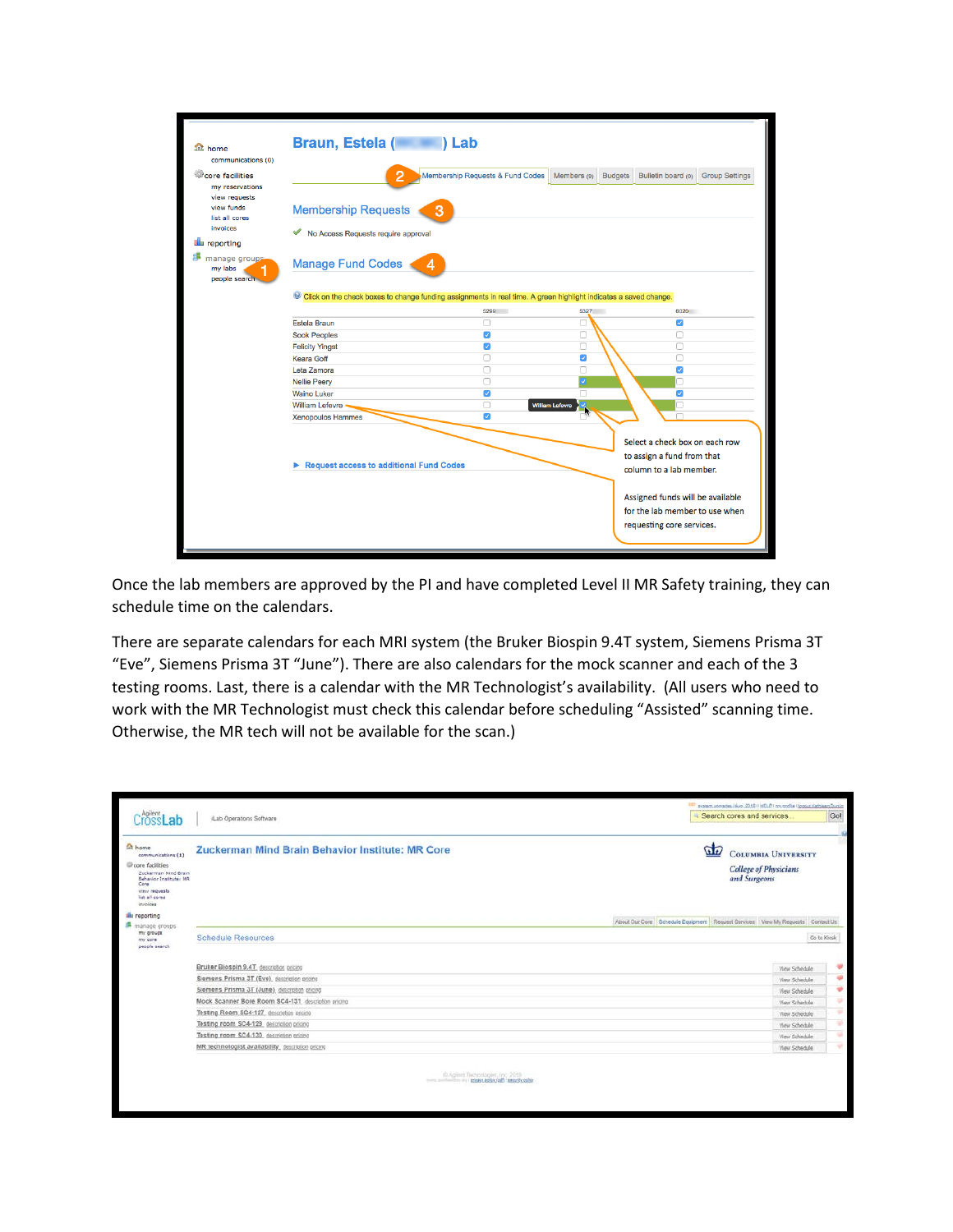| <b>1</b> home<br>communications (0) | Braun, Estela (Called and Lab                                                                                    |                                  |                               |                                                       |                       |  |  |
|-------------------------------------|------------------------------------------------------------------------------------------------------------------|----------------------------------|-------------------------------|-------------------------------------------------------|-----------------------|--|--|
| core facilities                     |                                                                                                                  | Membership Requests & Fund Codes | <b>Budgets</b><br>Members (9) | Bulletin board (0)                                    | <b>Group Settings</b> |  |  |
| my reservations                     |                                                                                                                  |                                  |                               |                                                       |                       |  |  |
| view requests                       |                                                                                                                  |                                  |                               |                                                       |                       |  |  |
| view funds<br>list all cores        | <b>Membership Requests</b><br>3                                                                                  |                                  |                               |                                                       |                       |  |  |
| invoices                            |                                                                                                                  |                                  |                               |                                                       |                       |  |  |
|                                     | No Access Requests require approval<br>$\checkmark$                                                              |                                  |                               |                                                       |                       |  |  |
| <b>Elle</b> reporting               |                                                                                                                  |                                  |                               |                                                       |                       |  |  |
| manage groups.<br>my labs           | Manage Fund Codes<br>4                                                                                           |                                  |                               |                                                       |                       |  |  |
| people search                       |                                                                                                                  |                                  |                               |                                                       |                       |  |  |
|                                     | Click on the check boxes to change funding assignments in real time. A green highlight indicates a saved change. |                                  |                               |                                                       |                       |  |  |
|                                     |                                                                                                                  |                                  |                               |                                                       |                       |  |  |
|                                     | Estela Braun                                                                                                     | 5299<br>Π                        | 5327<br>O                     | 6020<br>Ø                                             |                       |  |  |
|                                     |                                                                                                                  | $\overline{\mathcal{S}}$         | ⊓                             | Ω                                                     |                       |  |  |
|                                     | <b>Sook Peoples</b><br><b>Felicity Yingst</b>                                                                    | $\blacktriangledown$             | Ω                             | ∩                                                     |                       |  |  |
|                                     | Keara Goff                                                                                                       | n                                | $\overline{\mathcal{S}}$      | ⊓                                                     |                       |  |  |
|                                     | Leta Zamora                                                                                                      | ∩                                | n                             | ⊽                                                     |                       |  |  |
|                                     | <b>Nellie Peerv</b>                                                                                              | n                                | J                             |                                                       |                       |  |  |
|                                     | <b>Waino Luker</b>                                                                                               | $\blacktriangledown$             | n                             | Ø                                                     |                       |  |  |
|                                     | <b>William Lefevre</b>                                                                                           | n                                | <b>William Lefevre</b>        |                                                       |                       |  |  |
|                                     | Xenopoulos Hammes                                                                                                | $\mathcal{L}$                    |                               |                                                       |                       |  |  |
|                                     |                                                                                                                  |                                  |                               |                                                       |                       |  |  |
|                                     |                                                                                                                  |                                  |                               | Select a check box on each row                        |                       |  |  |
|                                     |                                                                                                                  |                                  |                               |                                                       |                       |  |  |
|                                     |                                                                                                                  |                                  |                               | to assign a fund from that<br>column to a lab member. |                       |  |  |
|                                     |                                                                                                                  |                                  |                               |                                                       |                       |  |  |
|                                     | Request access to additional Fund Codes                                                                          |                                  |                               |                                                       |                       |  |  |
|                                     |                                                                                                                  |                                  |                               |                                                       |                       |  |  |
|                                     |                                                                                                                  |                                  |                               | Assigned funds will be available                      |                       |  |  |
|                                     |                                                                                                                  |                                  |                               | for the lab member to use when                        |                       |  |  |
|                                     |                                                                                                                  |                                  |                               | requesting core services.                             |                       |  |  |

Once the lab members are approved by the PI and have completed Level II MR Safety training, they can schedule time on the calendars.

There are separate calendars for each MRI system (the Bruker Biospin 9.4T system, Siemens Prisma 3T "Eve", Siemens Prisma 3T "June"). There are also calendars for the mock scanner and each of the 3 testing rooms. Last, there is a calendar with the MR Technologist's availability. (All users who need to work with the MR Technologist must check this calendar before scheduling "Assisted" scanning time. Otherwise, the MR tech will not be available for the scan.)

| CrossLab                                                                                                                                               | Lab Operations Software                                                        |  | and another speciality and a 2010 HBLP I muscule Hoppur Kethleen Dunkin<br>Search cores and services |             |  |
|--------------------------------------------------------------------------------------------------------------------------------------------------------|--------------------------------------------------------------------------------|--|------------------------------------------------------------------------------------------------------|-------------|--|
| home<br>communications (1)<br>Core facilities<br>Zuckerman Mind Brain<br>Behavior Institute: MR<br>Core<br>view requests<br>list all cores<br>invoices | Zuckerman Mind Brain Behavior Institute: MR Core                               |  | $\sigma$<br><b>COLUMBIA UNIVERSITY</b><br><b>College of Physicians</b><br>and Surgeons               |             |  |
| <b>Illu</b> reporting                                                                                                                                  | About Our Core Schedule Equipment Request Services View My Requests Contact Us |  |                                                                                                      |             |  |
| manage groups<br>my groups<br>my core<br>people search                                                                                                 | <b>Schedule Resources</b>                                                      |  |                                                                                                      | Go to Klosk |  |
|                                                                                                                                                        | Bruker Biospin 9.4T, description pricing                                       |  | View Schedule                                                                                        | ÷           |  |
|                                                                                                                                                        | Siemens Prisma 3T (Eve), description pricing                                   |  | View Schedule                                                                                        | 硬           |  |
|                                                                                                                                                        | Siemens Prisma 3T (June), description pricing                                  |  | View Schedule                                                                                        | ۳           |  |
|                                                                                                                                                        | Mock Scanner Bore Room SC4-131, description pricing                            |  | View Schedule                                                                                        | ⇒           |  |
|                                                                                                                                                        | Testing Room SC4-127, description pricing                                      |  | View Schedule                                                                                        | ٠           |  |
|                                                                                                                                                        | Testing room SC4-129 description pricing                                       |  | <b>View Schedule</b>                                                                                 | w           |  |
|                                                                                                                                                        | Testing room SC4-130 description pricing                                       |  | View Schiedule                                                                                       | ÷           |  |
|                                                                                                                                                        | MR technologist availability_description pricing                               |  | <b>View Schedule</b>                                                                                 | ÷           |  |